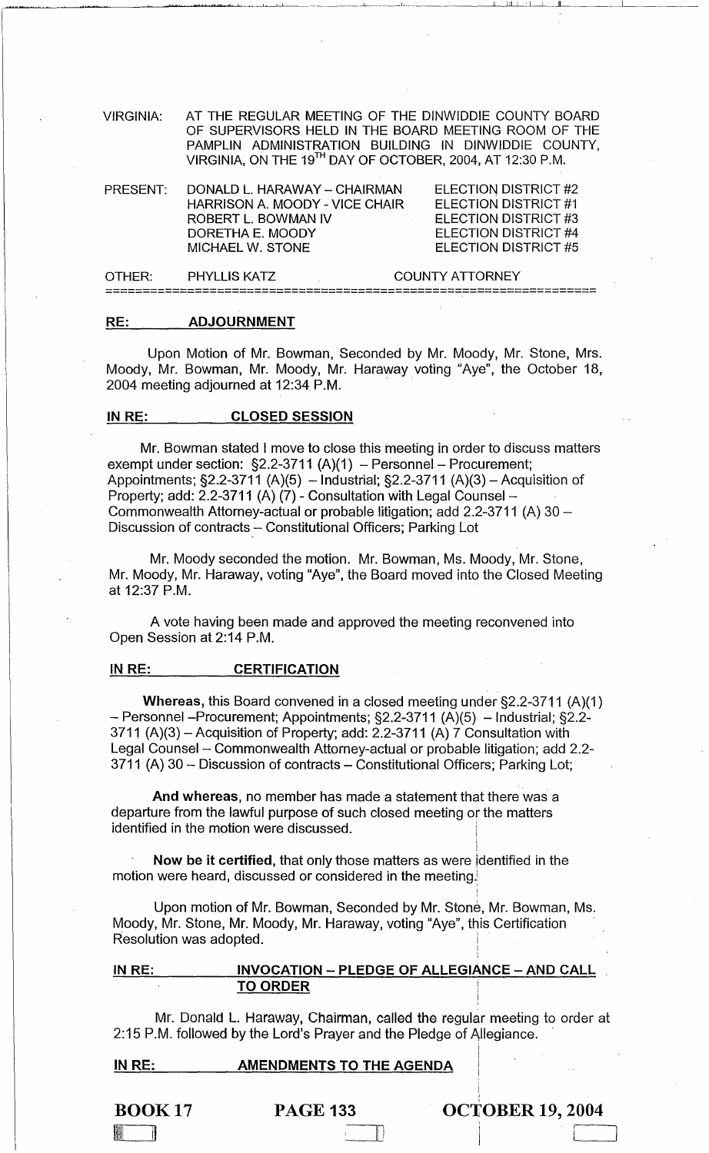VIRGINIA: AT THE REGULAR MEETING OF THE DINWIDDIE COUNTY BOARD OF SUPERVISORS HELD IN THE BOARD MEETING ROOM OF THE PAMPLIN ADMINISTRATION BUILDING IN DINWIDDIE COUNTY, VIRGINIA, ON THE 19TH DAY OF OCTOBER, 2004, AT 12:30 P.M.

d" d' b' b' an an des an antarctic de la boundaire de la comme de la comme de la comme de la boundaire de la comme de la comme de la comme de la comme de la comme de la comme de la comme de la comme de la comme de la comme

| PRESENT: | DONALD L. HARAWAY - CHAIRMAN   | <b>ELECTION DISTRICT #2</b> |
|----------|--------------------------------|-----------------------------|
|          | HARRISON A. MOODY - VICE CHAIR | <b>ELECTION DISTRICT #1</b> |
|          | ROBERT L. BOWMAN IV            | <b>ELECTION DISTRICT #3</b> |
|          | DORETHA E. MOODY               | ELECTION DISTRICT #4        |
|          | MICHAEL W. STONE               | <b>ELECTION DISTRICT #5</b> |
|          |                                |                             |
| OTHER:   | <b>PHYLLIS KATZ</b>            | <b>COUNTY ATTORNEY</b>      |

#### RE: ADJOURNMENT

Upon Motion of Mr. Bowman, Seconded by Mr. Moody, Mr. Stone, Mrs. Moody, Mr. Bowman, Mr. Moody, Mr. Haraway voting "Aye", the October 18, Upon Motion of Mr. Bowman, Seconded by Moody, Mr. Bowman, Mr. Moody, Mr. Haraway vot<br>2004 meeting adjourned at 12:34 P.M.

==================================================================

#### INRE: CLOSED SESSION

Mr. Bowman stated I move to close this meeting in order to discuss matters exempt under section:  $\S2.2-3711$  (A)(1) - Personnel - Procurement; Appointments;  $\S2.2$ -3711 (A)(5) - Industrial;  $\S2.2$ -3711 (A)(3) - Acquisition of Property; add: 2.2-3711 (A) (7) - Consultation with Legal Counsel -Commonwealth Attorney-actual or probable litigation; add 2.2-3711 (A)  $30 -$ Discussion of contracts - Constitutional Officers; Parking Lot

Mr. Moody seconded the motion. Mr. Bowman, Ms. Moody, Mr. Stone, Mr. Moody, Mr. Haraway, voting "Aye", the Board moved into the Closed Meeting at 12:37 P.M. .

A vote having been made and approved the meeting reconvened into Open Session at 2:14 P.M.

#### IN RE: **CERTIFICATION**

Whereas, this Board convened in a closed meeting under §2.2-3711 (A)(1) - Personnel - Procurement; Appointments; §2.2-3711 (A)(5) - Industrial; §2.2- $3711$  (A)(3) - Acquisition of Property; add: 2.2-3711 (A) 7 Consultation with Legal Counsel - Commonwealth Attorney-actual or probable litigation; add 2.2-3711 (A) 30 - Discussion of contracts - Constitutional Officers; Parking Lot;

And whereas, no member has made a statement that there was a departure from the lawful purpose of such closed meeting or the matters identified in the motion were discussed.

i Now be it certified, that only those matters as were identified in the motion were heard, discussed or considered in the meeting.

Upon motion of Mr. Bowman, Seconded by Mr. Stone, Mr. Bowman, Ms. Moody, Mr. Stone, Mr. Moody, Mr. Haraway, voting "Aye", this Certification Resolution was adopted.

IN RE: INVOCATION - PLEDGE OF ALLEGIANCE - AND CALL TO ORDER

Mr. Donald L. Haraway, Chairman, called the regular meeting to order at 2:15 P.M. followed by the Lord's Prayer and the Pledge of Allegiance. '

 $\blacksquare$ 

## IN RE: **AMENDMENTS TO THE AGENDA**

BOOK 17 PAGE 133 OCTOBER 19, 2004

,

I I

i :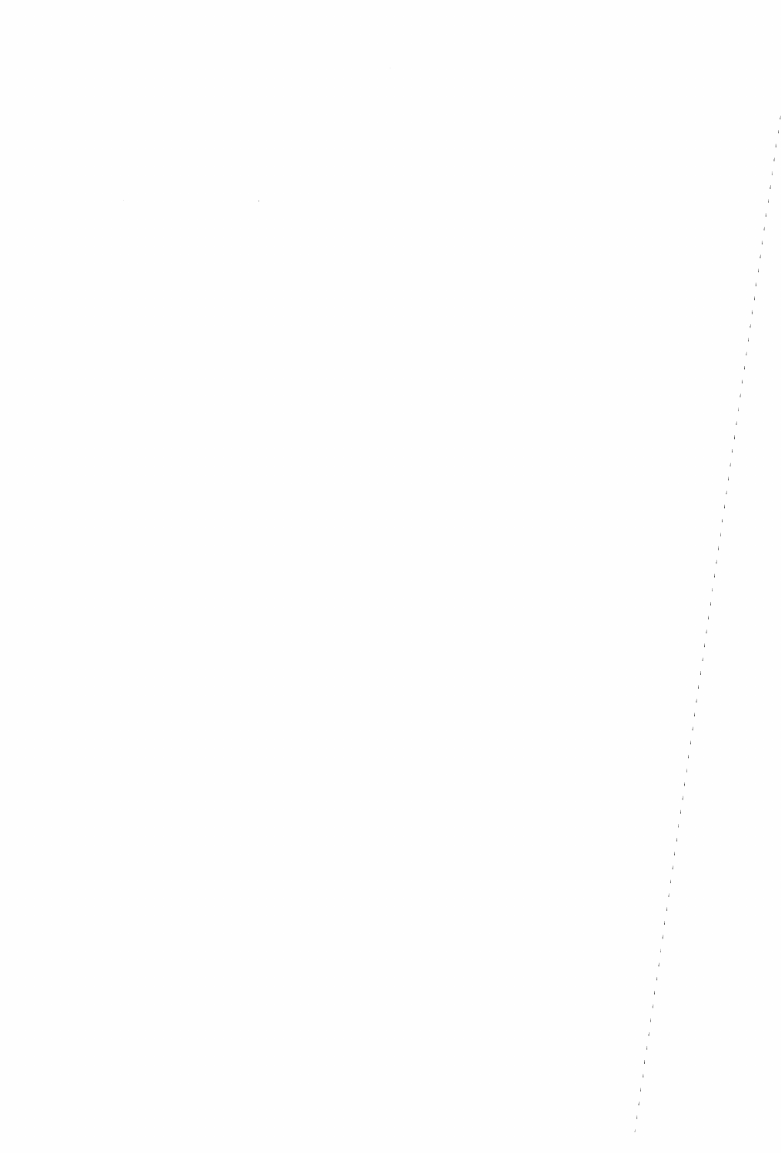$\bar{1}$  $\mathfrak l$  $\bar{t}$  $\bar{l}$  $\bar{t}$ 

 $\bar{t}$  $\bar{1}$  $\bar{1}$  $\mathfrak{t}$  $\bar{l}$  $\bar{l}$ 

 $\label{eq:2.1} \frac{1}{\sqrt{2}}\int_{\mathbb{R}^3}\frac{1}{\sqrt{2}}\left(\frac{1}{\sqrt{2}}\right)^2\frac{1}{\sqrt{2}}\left(\frac{1}{\sqrt{2}}\right)^2\frac{1}{\sqrt{2}}\left(\frac{1}{\sqrt{2}}\right)^2\frac{1}{\sqrt{2}}\left(\frac{1}{\sqrt{2}}\right)^2.$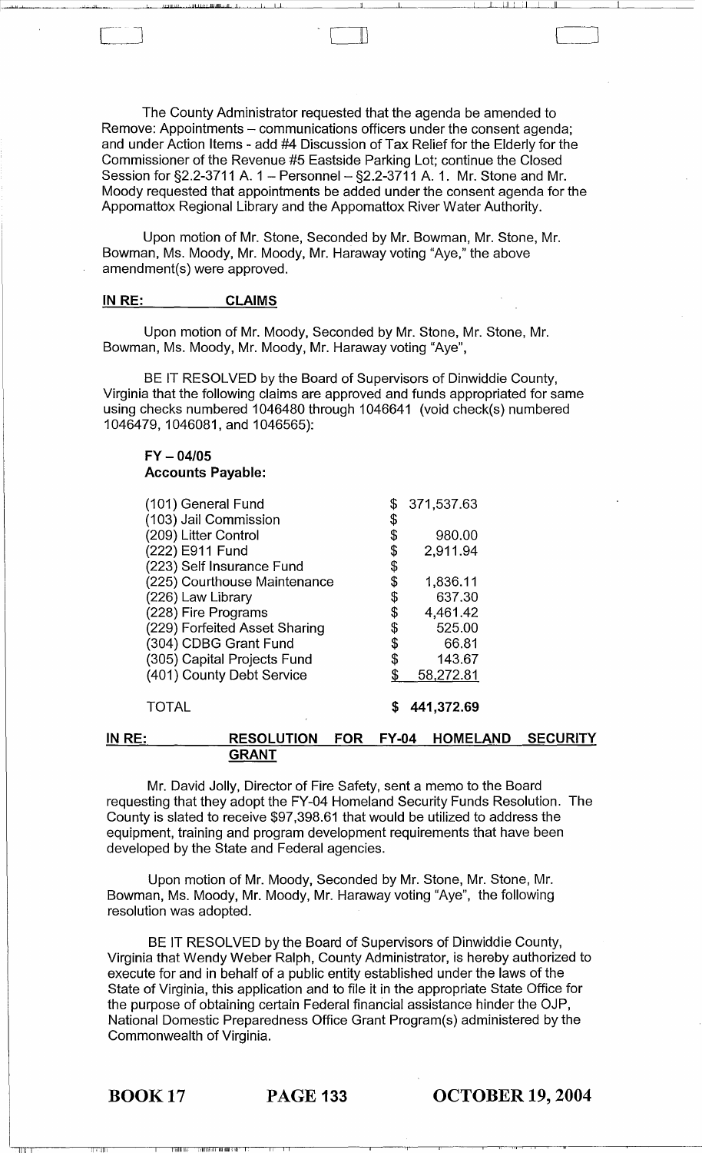The County Administrator requested that the agenda be amended to Remove: Appointments  $-$  communications officers under the consent agenda; and under Action Items - add #4 Discussion of Tax Relief for the Elderly for the Commissioner of the Revenue #5 Eastside Parking Lot; continue the Closed Session for  $\S 2.2 - 3711$  A. 1 - Personnel -  $\S 2.2 - 3711$  A. 1. Mr. Stone and Mr. Moody requested that appointments be added under the consent agenda for the Appomattox Regional Library and the Appomattox River Water Authority.

 $\begin{array}{|c|c|} \hline \quad \quad & \quad \quad & \quad \quad \\ \hline \quad \quad & \quad \quad & \quad \quad \\ \hline \quad \quad & \quad \quad & \quad \quad \\ \hline \end{array}$ 

 $\rfloor$ 

Upon motion of Mr. Stone, Seconded by Mr. Bowman, Mr. Stone, Mr. Bowman, Ms. Moody, Mr. Moody, Mr. Haraway voting "Aye," the above amendment(s) were approved.

#### **IN RE: CLAIMS**

Upon motion of Mr. Moody, Seconded by Mr. Stone, Mr. Stone, Mr. Bowman, Ms. Moody, Mr. Moody, Mr. Haraway voting "Aye",

**BE IT** RESOLVED by the Board of Supervisors of Dinwiddie County, Virginia that the following claims are approved and funds appropriated for same using checks numbered 1046480 through 1046641 (void check(s) numbered 1046479,1046081, and 1046565):

### **FY - 04/05 Accounts Payable:**

| (101) General Fund            | 371,537.63     |
|-------------------------------|----------------|
| (103) Jail Commission         | \$             |
| (209) Litter Control          | \$<br>980.00   |
| (222) E911 Fund               | \$<br>2,911.94 |
| (223) Self Insurance Fund     | \$             |
| (225) Courthouse Maintenance  | \$<br>1,836.11 |
| (226) Law Library             | \$<br>637.30   |
| (228) Fire Programs           | \$<br>4,461.42 |
| (229) Forfeited Asset Sharing | \$<br>525.00   |
| (304) CDBG Grant Fund         | \$<br>66.81    |
| (305) Capital Projects Fund   | \$<br>143.67   |
| (401) County Debt Service     | 58,272.81      |
| <b>TOTAL</b>                  | 441,372.69     |

## **IN RE: RESOLUTION FOR FY-04 HOMELAND SECURITY GRANT**

Mr. David Jolly, Director of Fire Safety, sent a memo to the Board requesting that they adopt the FY-04 Homeland Security Funds Resolution. The County is slated to receive \$97,398.61 that would be utilized to address the equipment, training and program development requirements that have been developed by the State and Federal agencies.

Upon motion of Mr. Moody, Seconded by Mr. Stone, Mr. Stone, Mr. Bowman, Ms. Moody, Mr. Moody, Mr. Haraway voting "Aye", the following resolution was adopted.

**BE IT** RESOLVED by the Board of Supervisors of Dinwiddie County, Virginia that Wendy Weber Ralph, County Administrator, is hereby authorized to execute for and in behalf of a public entity established under the laws of the State of Virginia, this application and to file it in the appropriate State Office for the purpose of obtaining certain Federal financial assistance hinder the OJP, National Domestic Preparedness Office Grant Program(s) administered by the Commonwealth of Virginia.

IIIi I

I I'lillllill i 1II.IiI Iii 1111111 ,II! I. II I I I Ii

BOOK 17 **PAGE 133 OCTOBER 19, 2004**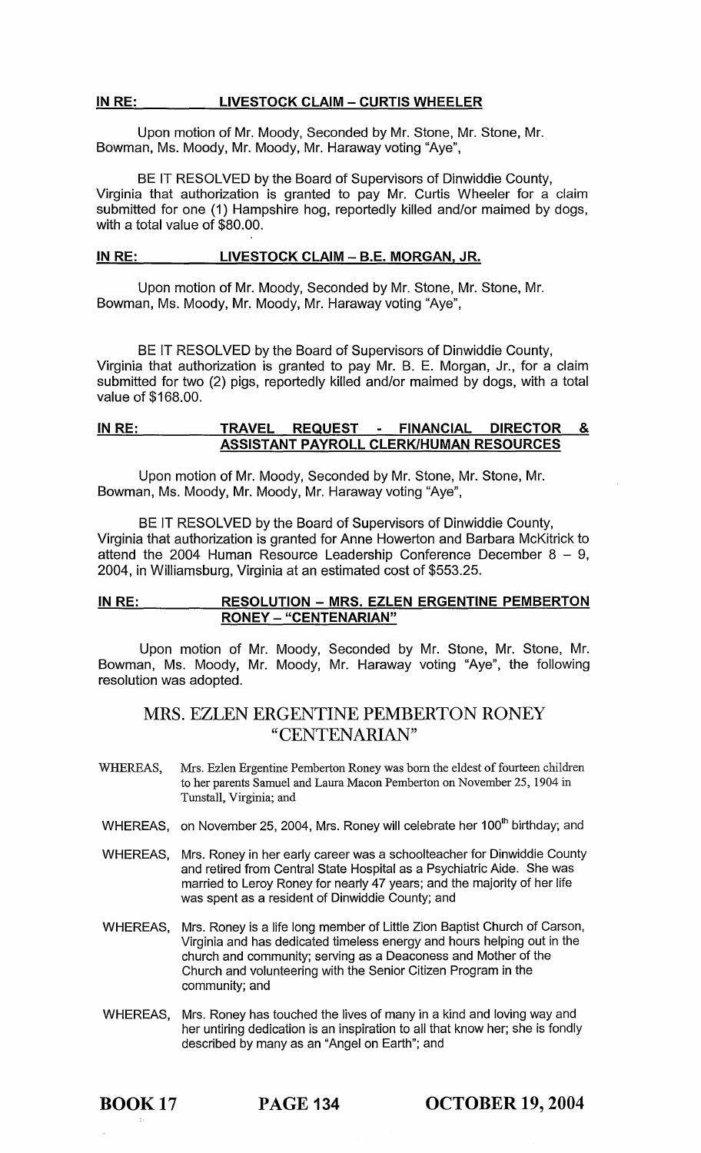### **IN RE: LIVESTOCK CLAIM - CURTIS WHEELER**

Upon motion of Mr. Moody, Seconded by Mr. Stone, Mr. Stone, Mr. Bowman, Ms. Moody, Mr. Moody, Mr. Haraway voting "Aye",

BE IT RESOLVED by the Board of Supervisors of Dinwiddie County, Virginia that authorization is granted to pay Mr. Curtis Wheeler for a claim submitted for one (1) Hampshire hog, reportedly killed and/or maimed by dogs, with a total value of \$80.00.

## **IN RE:** LIVESTOCK CLAIM - B.E. MORGAN, JR.

Upon motion of Mr. Moody, Seconded by Mr. Stone, Mr. Stone, Mr. Bowman, Ms. Moody, Mr. Moody, Mr. Haraway voting "Aye",

BE **IT** RESOLVED by the Board of Supervisors of Dinwiddie County, Virginia that authorization is granted to pay Mr. B. E. Morgan, Jr., for a claim submitted for two (2) pigs, reportedly killed and/or maimed by dogs, with a total value of \$168.00.

## **INRE: TRAVEL REQUEST - FINANCIAL DIRECTOR & ASSISTANT PAYROLL CLERK/HUMAN RESOURCES**

Upon motion of Mr. Moody, Seconded by Mr. Stone, Mr. Stone, Mr. Bowman, Ms. Moody, Mr. Moody, Mr. Haraway voting "Aye",

BE **IT** RESOLVED by the Board of Supervisors of Dinwiddie County, Virginia that authorization is granted for Anne Howerton and Barbara McKitrick to attend the 2004 Human Resource Leadership Conference December  $8 - 9$ , 2004, in Williamsburg, Virginia at an estimated cost of \$553.25.

## IN RE: RESOLUTION - MRS. EZLEN ERGENTINE PEMBERTON **RONEY - "CENTENARIAN"**

Upon motion of Mr. Moody, Seconded by Mr. Stone, Mr. Stone, Mr. Bowman, Ms. Moody, Mr. Moody, Mr. Haraway voting "Aye", the following resolution was adopted.

# MRS. EZLEN ERGENTINE PEMBERTON RONEY "CENTENARIAN"

- WHEREAS, Mrs. Ezlen Ergentine Pemberton Roney was born the eldest of fourteen children to her parents Samuel and Laura Macon Pemberton on November 25, 1904 in Tunstall, Virginia; and
- WHEREAS, on November 25, 2004, Mrs. Roney will celebrate her 100<sup>th</sup> birthday; and
- WHEREAS, Mrs. Roney in her early career was a schoolteacher for Dinwiddie County and retired from Central State Hospital as a Psychiatric Aide. She was married to Leroy Roney for nearly 47 years; and the majority of her life was spent as a resident of Dinwiddie County; and
- WHEREAS, Mrs. Roney is a life long member of Little Zion Baptist Church of Carson, Virginia and has dedicated timeless energy and hours helping out in the church and community; serving as a Deaconess and Mother of the Church and volunteering with the Senior Citizen Program in the community; and
- WHEREAS, Mrs. Roney has touched the lives of many in a kind and loving way and her untiring dedication is an inspiration to all that know her; she is fondly described by many as an "Angel on Earth"; and

BOOK 17 **PAGE 134 OCTOBER 19, 2004**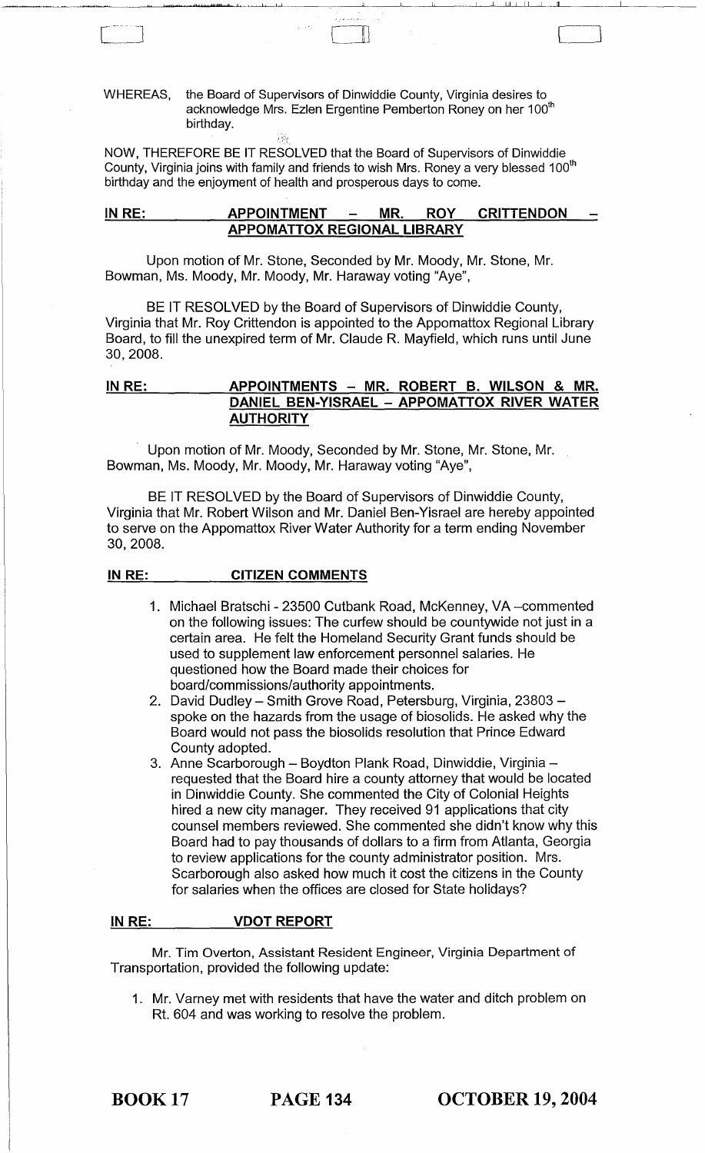## WHEREAS, the Board of Supervisors of Dinwiddie County, Virginia desires to acknowledge Mrs. Ezlen Ergentine Pemberton Roney on her 100<sup>th</sup> birthday.

 $\begin{bmatrix} \begin{array}{ccc} \end{array} \end{bmatrix}$ 

"",. '",,"" I ~1..J \_\_ ~\_--"--\_\_ ~\_--"------\_~~--LJIILLi-.L" ~I \_\_ ~ \_\_\_\_\_ \_

[

 $\rfloor$ 

NOW, THEREFORE BE IT RESOLVED that the Board of Supervisors of Dinwiddie County, Virginia joins with family and friends to wish Mrs. Roney a very blessed 100<sup>th</sup> birthday and the enjoyment of health and prosperous days to come.

## IN RE: APPOINTMENT - MR. ROY CRITTENDON APPOMATTOX REGIONAL LIBRARY

Upon motion of Mr. Stone, Seconded by Mr. Moody, Mr. Stone, Mr. Bowman, Ms. Moody, Mr. Moody, Mr. Haraway voting "Aye",

BE IT RESOLVED by the Board of Supervisors of Dinwiddie County, Virginia that Mr. Roy Crittendon is appointed to the Appomattox Regional Library Board, to fill the unexpired term of Mr. Claude R. Mayfield, which runs until June 30,2008.

## IN RE: APPOINTMENTS - MR. ROBERT B. WILSON & MR. DANIEL BEN-YISRAEL - APPOMATTOX RIVER WATER **AUTHORITY**

Upon motion of Mr. Moody, Seconded by Mr. Stone, Mr. Stone, Mr. Bowman, Ms. Moody, Mr. Moody, Mr. Haraway voting "Aye",

BE IT RESOLVED by the Board of Supervisors of Dinwiddie County, Virginia that Mr. Robert Wilson and Mr. Daniel Ben-Yisrael are hereby appointed to serve on the Appomattox River Water Authority for a term ending November 30,2008.

## IN RE: CITIZEN COMMENTS

- 1. Michael Bratschi 23500 Cutbank Road, McKenney, VA -commented on the following issues: The curfew should be countywide not just in a certain area. He felt the Homeland Security Grant funds should be used to supplement law enforcement personnel salaries. He questioned how the Board made their choices for board/commissions/authority appointments.
- 2. David Dudley Smith Grove Road, Petersburg, Virginia, 23803 spoke on the hazards from the usage of biosolids. He asked why the Board would not pass the biosoliqs resolution that Prince Edward County adopted.
- 3. Anne Scarborough Boydton Plank Road, Dinwiddie, Virginia requested that the Board hire a county attorney that would be located in Dinwiddie County. She commented the City of Colonial Heights hired a new city manager. They received 91 applications that city counsel members reviewed. She commented she didn't know why this Board had to pay thousands of dollars to a firm from Atlanta, Georgia to review applications for the county administrator position. Mrs. Scarborough also asked how much it cost the citizens in the County for salaries when the offices are closed for State holidays?

## IN RE: VDOT REPORT

Mr. Tim Overton, Assistant Resident Engineer, Virginia Department of Transportation, provided the following update:

1. Mr. Varney met with residents that have the water and ditch problem on Rt. 604 and was working to resolve the problem.

BOOK 17 PAGE 134 OCTOBER 19, 2004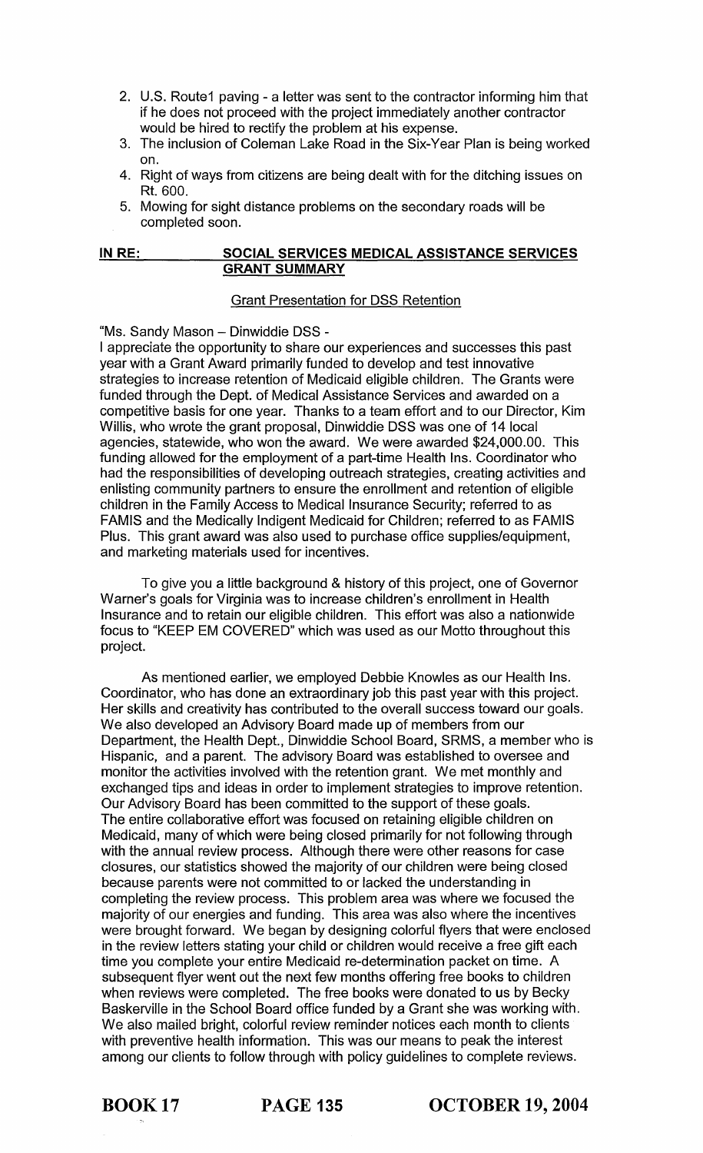- 2. U.S. Route1 paving a letter was sent to the contractor informing him that if he does not proceed with the project immediately another contractor would be hired to rectify the problem at his expense.
- 3. The inclusion of Coleman Lake Road in the Six-Year Plan is being worked on.
- 4. Right of ways from citizens are being dealt with for the ditching issues on Rt. 600.
- 5. Mowing for sight distance problems on the secondary roads will be completed soon.

### **IN RE: SOCIAL SERVICES MEDICAL ASSISTANCE SERVICES GRANT SUMMARY**

#### Grant Presentation for DSS Retention

"Ms. Sandy Mason - Dinwiddie DSS -

I appreciate the opportunity to share our experiences and successes this past year with a Grant Award primarily funded to develop and test innovative strategies to increase retention of Medicaid eligible children. The Grants were funded through the Dept. of Medical Assistance Services and awarded on a competitive basis for one year. Thanks to a team effort and to our Director, Kim Willis, who wrote the grant proposal, Dinwiddie DSS was one of 14 local agencies, statewide, who won the award. We were awarded \$24,000.00. This funding allowed for the employment of a part-time Health Ins. Coordinator who had the responsibilities of developing outreach strategies, creating activities and enlisting community partners to ensure the enrollment and retention of eligible children in the Family Access to Medical Insurance Security; referred to as FAMIS and the Medically Indigent Medicaid for Children; referred to as FAMIS Plus. This grant award was also used to purchase office supplies/equipment, and marketing materials used for incentives.

To give you a little background & history of this project, one of Governor Warner's goals for Virginia was to increase children's enrollment in Health Insurance and to retain our eligible children. This effort was also a nationwide focus to "KEEP EM COVERED" which was used as our Motto throughout this project.

As mentioned earlier, we employed Debbie Knowles as our Health Ins. Coordinator, who has done an extraordinary job this past year with this project. Her skills and creativity has contributed to the overall success toward our goals. We also developed an Advisory Board made up of members from our Department, the Health Dept., Dinwiddie School Board, SRMS, a member who is Hispanic, and a parent. The advisory Board was established to oversee and monitor the activities involved with the retention grant. We met monthly and exchanged tips and ideas in order to implement strategies to improve retention. Our Advisory Board has been committed to the support of these goals. The entire collaborative effort was focused on retaining eligible children on Medicaid, many of which were being closed primarily for not following through with the annual review process. Although there were other reasons for case closures, our statistics showed the majority of our children were being closed because parents were not committed to or lacked the understanding in completing the review process. This problem area was where we focused the majority of our energies and funding. This area was also where the incentives were brought forward. We began by designing colorful flyers that were enclosed in the review letters stating your child or children would receive a free gift each time you complete your entire Medicaid re-determination packet on time. A subsequent flyer went out the next few months offering free books to children when reviews were completed. The free books were donated to us by Becky Baskerville in the School Board office funded by a Grant she was working with. We also mailed bright, colorful review reminder notices each month to clients with preventive health information. This was our means to peak the interest among our clients to follow through with policy guidelines to complete reviews.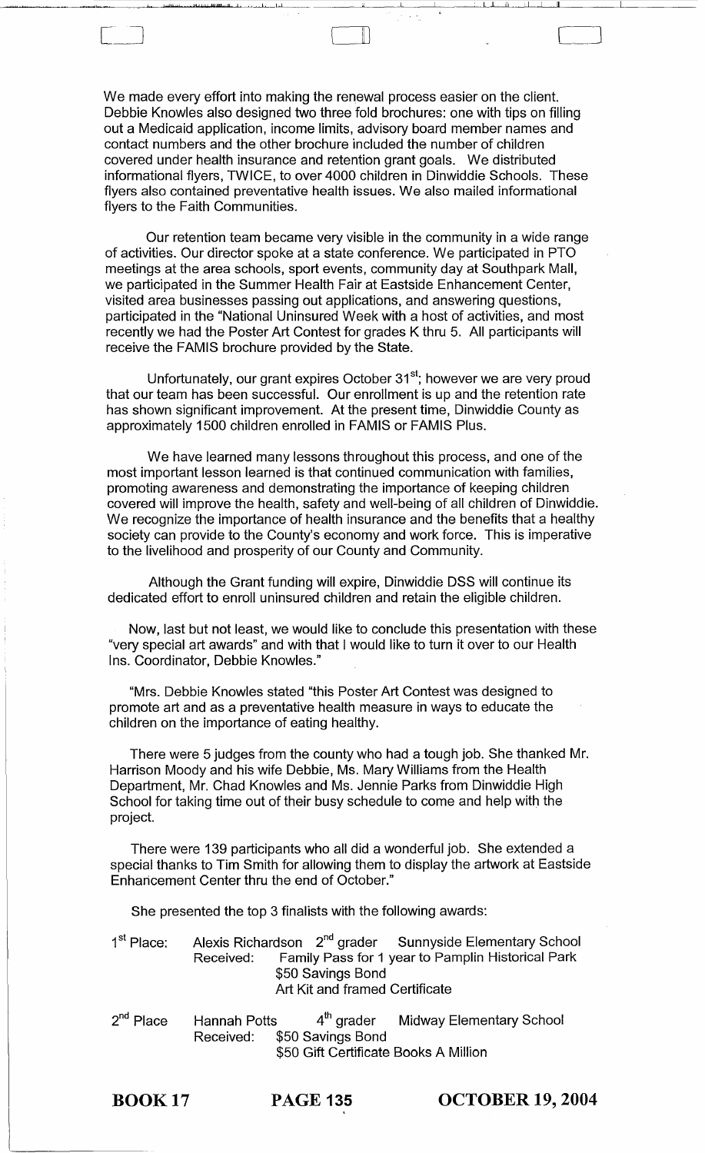We made every effort into making the renewal process easier on the client. Debbie Knowles also designed two three fold brochures: one with tips on filling out a Medicaid application, income limits, advisory board member names and contact numbers and the other brochure included the number of children covered under health insurance and retention grant goals. We distributed informational flyers, TWICE, to over 4000 children in Dinwiddie Schools. These flyers also contained preventative health issues. We also mailed informational flyers to the Faith Communities.

 $\begin{pmatrix} 1 & 1 \\ 1 & 1 \end{pmatrix}$ 

Our retention team became very visible in the community in a wide range of activities. Our director spoke at a state conference. We participated in PTO meetings at the area schools, sport events, community day at Southpark Mall, we participated in the Summer Health Fair at Eastside Enhancement Center, visited area businesses passing out applications, and answering questions, participated in the "National Uninsured Week with a host of activities, and most recently we had the Poster Art Contest for grades K thru 5. All participants will receive the FAMIS brochure provided by the State.

Unfortunately, our grant expires October 31<sup>st</sup>; however we are very proud that our team has been successful. Our enrollment is up and the retention rate has shown significant improvement. At the present time, Dinwiddie County as approximately 1500 children enrolled in FAMIS or FAMIS Plus.

We have learned many lessons throughout this process, and one of the most important lesson learned is that continued communication with families, promoting awareness and demonstrating the importance of keeping children covered will improve the health, safety and well-being of all children of Dinwiddie. We recognize the importance of health insurance and the benefits that a healthy society can provide to the County's economy and work force. This is imperative to the livelihood and prosperity of our County and Community.

Although the Grant funding will expire, Dinwiddie DSS will continue its dedicated effort to enroll uninsured children and retain the eligible children.

Now, last but not least, we would like to conclude this presentation with these "very special art awards" and with that I would like to turn it over to our Health Ins. Coordinator, Debbie Knowles."

"Mrs. Debbie Knowles stated "this Poster Art Contest was designed to promote art and as a preventative health measure in ways to educate the children on the importance of eating healthy.

There were 5 judges from the county who had a tough job. She thanked Mr. Harrison Moody and his wife Debbie, Ms. Mary Williams from the Health Department, Mr. Chad Knowles and Ms. Jennie Parks from Dinwiddie High School for taking time out of their busy schedule to come and help with the project.

There were 139 participants who all did a wonderful job. She extended a special thanks to Tim Smith for allowing them to display the artwork at Eastside Enhancement Center thru the end of October."

She presented the top 3 finalists with the following awards:

| \$50 Savings Bond |  |                                                                                                                                                                       |  |  |
|-------------------|--|-----------------------------------------------------------------------------------------------------------------------------------------------------------------------|--|--|
|                   |  |                                                                                                                                                                       |  |  |
|                   |  | Alexis Richardson 2 <sup>nd</sup> grader Sunnyside Elementary School<br>Received: Family Pass for 1 year to Pamplin Historical Park<br>Art Kit and framed Certificate |  |  |

| $2nd$ Place | <b>Hannah Potts</b> | 4 <sup>th</sup> grader                | Midway Elementary School |  |  |
|-------------|---------------------|---------------------------------------|--------------------------|--|--|
|             |                     | Received: \$50 Savings Bond           |                          |  |  |
|             |                     | \$50 Gift Certificate Books A Million |                          |  |  |

BOOK 17 **PAGE 135 OCTOBER 19, 2004**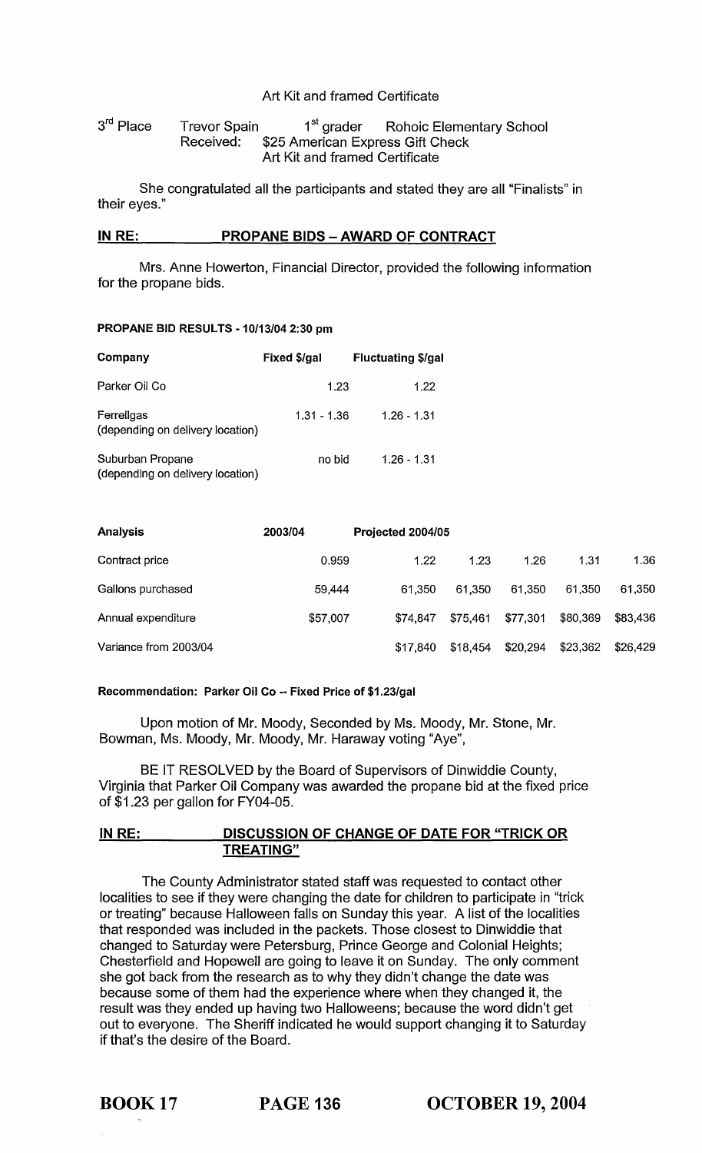#### Art Kit and framed Certificate

## 3<sup>rd</sup> Place Trevor Spain 1<sup>st</sup> grader Rohoic Elementary School<br>Received: \$25 American Express Gift Check \$25 American Express Gift Check Art Kit and framed Certificate

She congratulated all the participants and stated they are all "Finalists" in their eyes."

## IN RE: PROPANE BIDS - AWARD OF CONTRACT

Mrs. Anne Howerton, Financial Director, provided the following information for the propane bids.

#### PROPANE BID RESULTS - 10/13/04 2:30 pm

| Company                                              | Fixed \$/gal  | <b>Fluctuating \$/gal</b> |
|------------------------------------------------------|---------------|---------------------------|
| Parker Oil Co                                        | 1.23          | 1.22                      |
| Ferrellgas<br>(depending on delivery location)       | $1.31 - 1.36$ | $1.26 - 1.31$             |
| Suburban Propane<br>(depending on delivery location) | no bid        | $1.26 - 1.31$             |

| <b>Analysis</b>       | 2003/04  | Projected 2004/05 |          |          |          |          |
|-----------------------|----------|-------------------|----------|----------|----------|----------|
| Contract price        | 0.959    | 1.22              | 1.23     | 1.26     | 1.31     | 1.36     |
| Gallons purchased     | 59,444   | 61.350            | 61.350   | 61.350   | 61,350   | 61.350   |
| Annual expenditure    | \$57,007 | \$74,847          | \$75,461 | \$77,301 | \$80,369 | \$83.436 |
| Variance from 2003/04 |          | \$17.840          | \$18,454 | \$20,294 | \$23,362 | \$26,429 |

### Recommendation: Parker Oil Co -- Fixed Price of \$1.23/gal

Upon motion of Mr. Moody, Seconded by Ms. Moody, Mr. Stone, Mr. Bowman, Ms. Moody, Mr. Moody, Mr. Haraway voting "Aye",

BE IT RESOLVED by the Board of Supervisors of Dinwiddie County, Virginia that Parker Oil Company was awarded the propane bid at the fixed price of \$1.23 per gallon for FY04-05.

## IN RE: DISCUSSION OF CHANGE OF DATE FOR "TRICK OR TREATING"

The County Administrator stated staff was requested to contact other localities to see if they were changing the date for children to participate in "trick or treating" because Halloween falls on Sunday this year. A list of the localities that responded was included in the packets. Those closest to Dinwiddie that changed to Saturday were Petersburg, Prince George and Colonial Heights; Chesterfield and Hopewell are going to leave it on Sunday. The only comment she got back from the research as to why they didn't change the date was because some of them had the experience where when they changed it, the result was they ended up having two Halloweens; because the word didn't get out to everyone. The Sheriff indicated he would support changing it to Saturday if that's the desire of the Board.

BOOK 17 PAGE 136 OCTOBER 19, 2004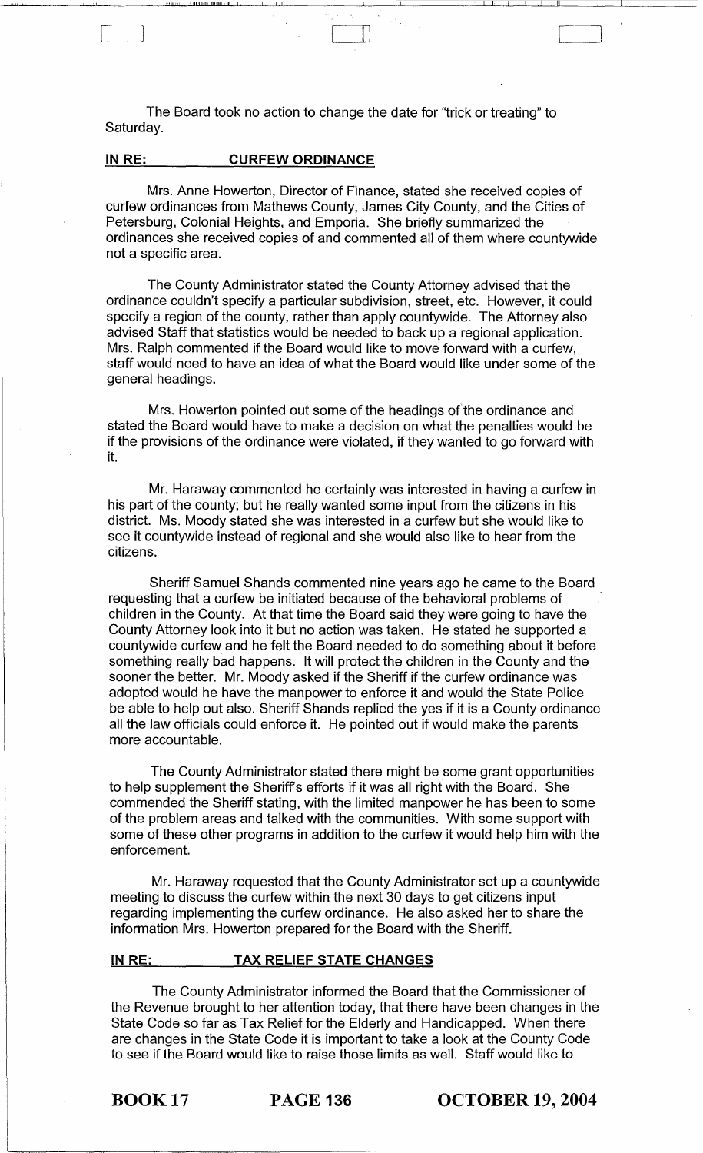The Board took no action to change the date for "trick or treating" to Saturday.

 $\prod_{i=1}^n \frac{1}{i}$ 

#### **IN RE: CURFEW ORDINANCE**

Mrs. Anne Howerton, Director of Finance, stated she received copies of curfew ordinances from Mathews County, James City County, and the Cities of Petersburg, Colonial Heights, and Emporia. She briefly summarized the ordinances she received copies of and commented all of them where countywide not a specific area.

The County Administrator stated the County Attorney advised that the ordinance couldn't specify a particular subdivision, street, etc. However, it could specify a region of the county, rather than apply countywide. The Attorney also advised Staff that statistics would be needed to back up a regional application. Mrs. Ralph commented if the Board would like to move forward with a curfew, staff would need to have an idea of what the Board would like under some of the general headings.

Mrs. Howerton pointed out some of the headings of the ordinance and stated the Board would have to make a decision on what the penalties would be if the provisions of the ordinance were violated, if they wanted to go forward with it.

Mr. Haraway commented he certainly was interested in having a curfew in his part of the county; but he really wanted some input from the citizens in his district. Ms. Moody stated she was interested in a curfew but she would like to see it countywide instead of regional and she would also like to hear from the citizens.

Sheriff Samuel Shands commented nine years ago he came to the Board requesting that a curfew be initiated because of the behavioral problems of children in the County. At that time the Board said they were going to have the County Attorney look into it but no action was taken. He stated he supported a countywide curfew and he felt the Board needed to do something about it before something really bad happens. It will protect the children in the County and the sooner the better. Mr. Moody asked if the Sheriff if the curfew ordinance was adopted would he have the manpower to enforce it and would the State Police be able to help out also. Sheriff Shands replied the yes if it is a County ordinance all the law officials could enforce it. He pointed out if would make the parents more accountable.

The County Administrator stated there might be some grant opportunities to help supplement the Sheriff's efforts if it was all right with the Board. She commended the Sheriff stating, with the limited manpower he has been to some of the problem areas and talked with the communities. With some support with some of these other programs in addition to the curfew it would help him with the enforcement.

Mr. Haraway requested that the County Administrator set up a countywide meeting to discuss the curfew within the next 30 days to get citizens input regarding implementing the curfew ordinance. He also asked her to share the information Mrs. Howerton prepared for the Board with the Sheriff.

## **INRE: TAX RELIEF STATE CHANGES**

The County Administrator informed the Board that the Commissioner of the Revenue brought to her attention today, that there have been changes in the State Code so far as Tax Relief for the Elderly and Handicapped. When there are changes in the State Code it is important to take a look at the County Code to see if the Board would like to raise those limits as well. Staff would like to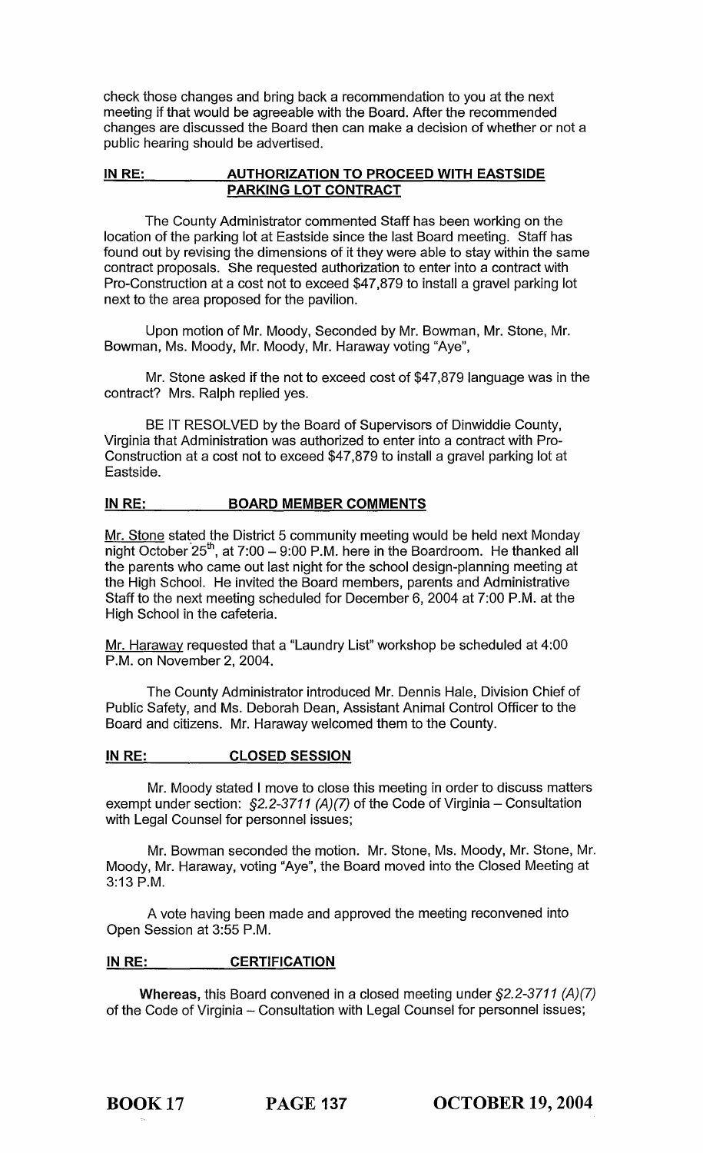check those changes and bring back a recommendation to you at the next meeting if that would be agreeable with the Board. After the recommended changes are discussed the Board then can make a decision of whether or not a public hearing should be advertised.

## **IN RE: AUTHORIZATION TO PROCEED WITH EASTSIDE PARKING LOT CONTRACT**

The County Administrator commented Staff has been working on the location of the parking lot at Eastside since the last Board meeting. Staff has found out by revising the dimensions of it they were able to stay within the same contract proposals. She requested authorization to enter into a contract with Pro-Construction at a cost not to exceed \$47,879 to install a gravel parking lot next to the area proposed for the pavilion.

Upon motion of Mr. Moody, Seconded by Mr. Bowman, Mr. Stone, Mr. Bowman, Ms. Moody, Mr. Moody, Mr. Haraway voting "Aye",

Mr. Stone asked if the not to exceed cost of \$47,879 language was in the contract? Mrs. Ralph replied yes.

BE IT RESOLVED by the Board of Supervisors of Dinwiddie County, Virginia that Administration was authorized to enter into a contract with Pro-Construction at a cost not to exceed \$47,879 to install a gravel parking lot at Eastside.

## **IN RE: BOARD MEMBER COMMENTS**

Mr. Stone stated the District 5 community meeting would be held next Monday night October  $25^{th}$ , at 7:00 - 9:00 P.M. here in the Boardroom. He thanked all the parents who came out last night for the school design-planning meeting at the High School. He invited the Board members, parents and Administrative Staff to the next meeting scheduled for December 6, 2004 at 7:00 P.M. at the High School in the cafeteria.

Mr. Haraway requested that a "Laundry List" workshop be scheduled at 4:00 P.M. on November 2, 2004.

The County Administrator introduced Mr. Dennis Hale, Division Chief of Public Safety, and Ms. Deborah Dean, Assistant Animal Control Officer to the Board and citizens. Mr. Haraway welcomed them to the County.

## **INRE: CLOSED SESSION**

Mr. Moody stated I move to close this meeting in order to discuss matters exempt under section:  $$2.2-3711 (A)(7)$  of the Code of Virginia - Consultation with Legal Counsel for personnel issues;

Mr. Bowman seconded the motion. Mr. Stone, Ms. Moody, Mr. Stone, Mr. Moody, Mr. Haraway, voting "Aye", the Board moved into the Closed Meeting at 3:13 P.M.

A vote having been made and approved the meeting reconvened into Open Session at 3:55 P.M.

## **IN RE: CERTIFICATION**

**Whereas,** this Board convened in a closed meeting under §2.2-3711 (A)(7) of the Code of Virginia - Consultation with Legal Counsel for personnel issues;